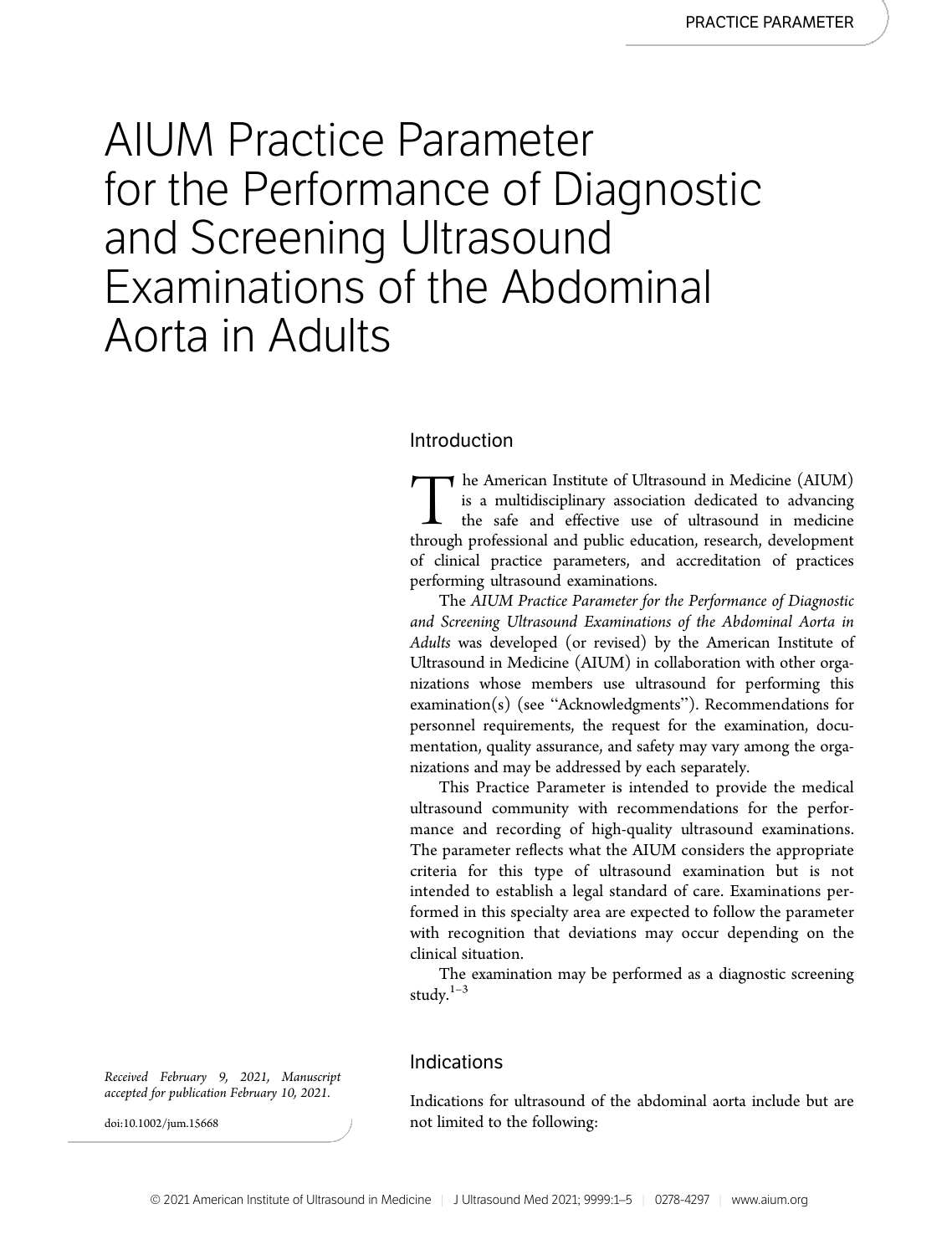# AIUM Practice Parameter for the Performance of Diagnostic and Screening Ultrasound Examinations of the Abdominal Aorta in Adults

## Introduction

The American Institute of Ultrasound in Medicine (AIUM) is a multidisciplinary association dedicated to advancing the safe and effective use of ultrasound in medicine through professional and public education, research, de is a multidisciplinary association dedicated to advancing the safe and effective use of ultrasound in medicine through professional and public education, research, development of clinical practice parameters, and accreditation of practices performing ultrasound examinations.

The AIUM Practice Parameter for the Performance of Diagnostic and Screening Ultrasound Examinations of the Abdominal Aorta in Adults was developed (or revised) by the American Institute of Ultrasound in Medicine (AIUM) in collaboration with other organizations whose members use ultrasound for performing this examination(s) (see "Acknowledgments"). Recommendations for personnel requirements, the request for the examination, documentation, quality assurance, and safety may vary among the organizations and may be addressed by each separately.

This Practice Parameter is intended to provide the medical ultrasound community with recommendations for the performance and recording of high-quality ultrasound examinations. The parameter reflects what the AIUM considers the appropriate criteria for this type of ultrasound examination but is not intended to establish a legal standard of care. Examinations performed in this specialty area are expected to follow the parameter with recognition that deviations may occur depending on the clinical situation.

The examination may be performed as a diagnostic screening study.1–<sup>3</sup>

### Indications

Indications for ultrasound of the abdominal aorta include but are not limited to the following:

Received February 9, 2021, Manuscript accepted for publication February 10, 2021.

doi:10.1002/jum.15668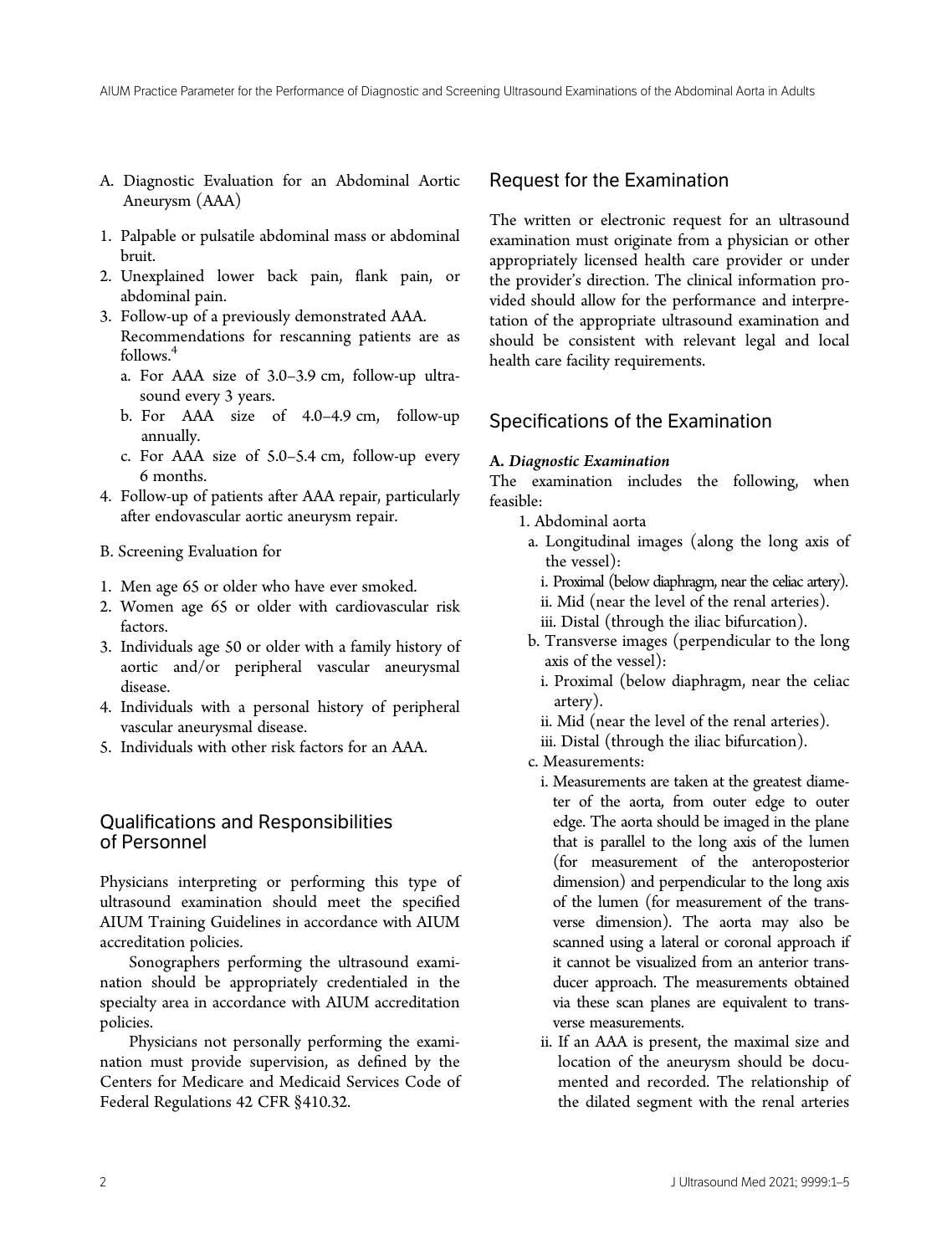- A. Diagnostic Evaluation for an Abdominal Aortic Aneurysm (AAA)
- 1. Palpable or pulsatile abdominal mass or abdominal bruit.
- 2. Unexplained lower back pain, flank pain, or abdominal pain.
- 3. Follow-up of a previously demonstrated AAA. Recommendations for rescanning patients are as follows.<sup>4</sup>
	- a. For AAA size of 3.0–3.9 cm, follow-up ultrasound every 3 years.
	- b. For AAA size of 4.0–4.9 cm, follow-up annually.
	- c. For AAA size of 5.0–5.4 cm, follow-up every 6 months.
- 4. Follow-up of patients after AAA repair, particularly after endovascular aortic aneurysm repair.
- B. Screening Evaluation for
- 1. Men age 65 or older who have ever smoked.
- 2. Women age 65 or older with cardiovascular risk factors.
- 3. Individuals age 50 or older with a family history of aortic and/or peripheral vascular aneurysmal disease.
- 4. Individuals with a personal history of peripheral vascular aneurysmal disease.
- 5. Individuals with other risk factors for an AAA.

## Qualifications and Responsibilities of Personnel

Physicians interpreting or performing this type of ultrasound examination should meet the specified AIUM Training Guidelines in accordance with AIUM accreditation policies.

Sonographers performing the ultrasound examination should be appropriately credentialed in the specialty area in accordance with AIUM accreditation policies.

Physicians not personally performing the examination must provide supervision, as defined by the Centers for Medicare and Medicaid Services Code of Federal Regulations 42 CFR §410.32.

## Request for the Examination

The written or electronic request for an ultrasound examination must originate from a physician or other appropriately licensed health care provider or under the provider's direction. The clinical information provided should allow for the performance and interpretation of the appropriate ultrasound examination and should be consistent with relevant legal and local health care facility requirements.

## Specifications of the Examination

#### A. Diagnostic Examination

The examination includes the following, when feasible:

- 1. Abdominal aorta
	- a. Longitudinal images (along the long axis of the vessel):
		- i. Proximal (below diaphragm, near the celiac artery).
		- ii. Mid (near the level of the renal arteries).
	- iii. Distal (through the iliac bifurcation).
	- b. Transverse images (perpendicular to the long axis of the vessel):
		- i. Proximal (below diaphragm, near the celiac artery).
		- ii. Mid (near the level of the renal arteries).
		- iii. Distal (through the iliac bifurcation).
- c. Measurements:
	- i. Measurements are taken at the greatest diameter of the aorta, from outer edge to outer edge. The aorta should be imaged in the plane that is parallel to the long axis of the lumen (for measurement of the anteroposterior dimension) and perpendicular to the long axis of the lumen (for measurement of the transverse dimension). The aorta may also be scanned using a lateral or coronal approach if it cannot be visualized from an anterior transducer approach. The measurements obtained via these scan planes are equivalent to transverse measurements.
	- ii. If an AAA is present, the maximal size and location of the aneurysm should be documented and recorded. The relationship of the dilated segment with the renal arteries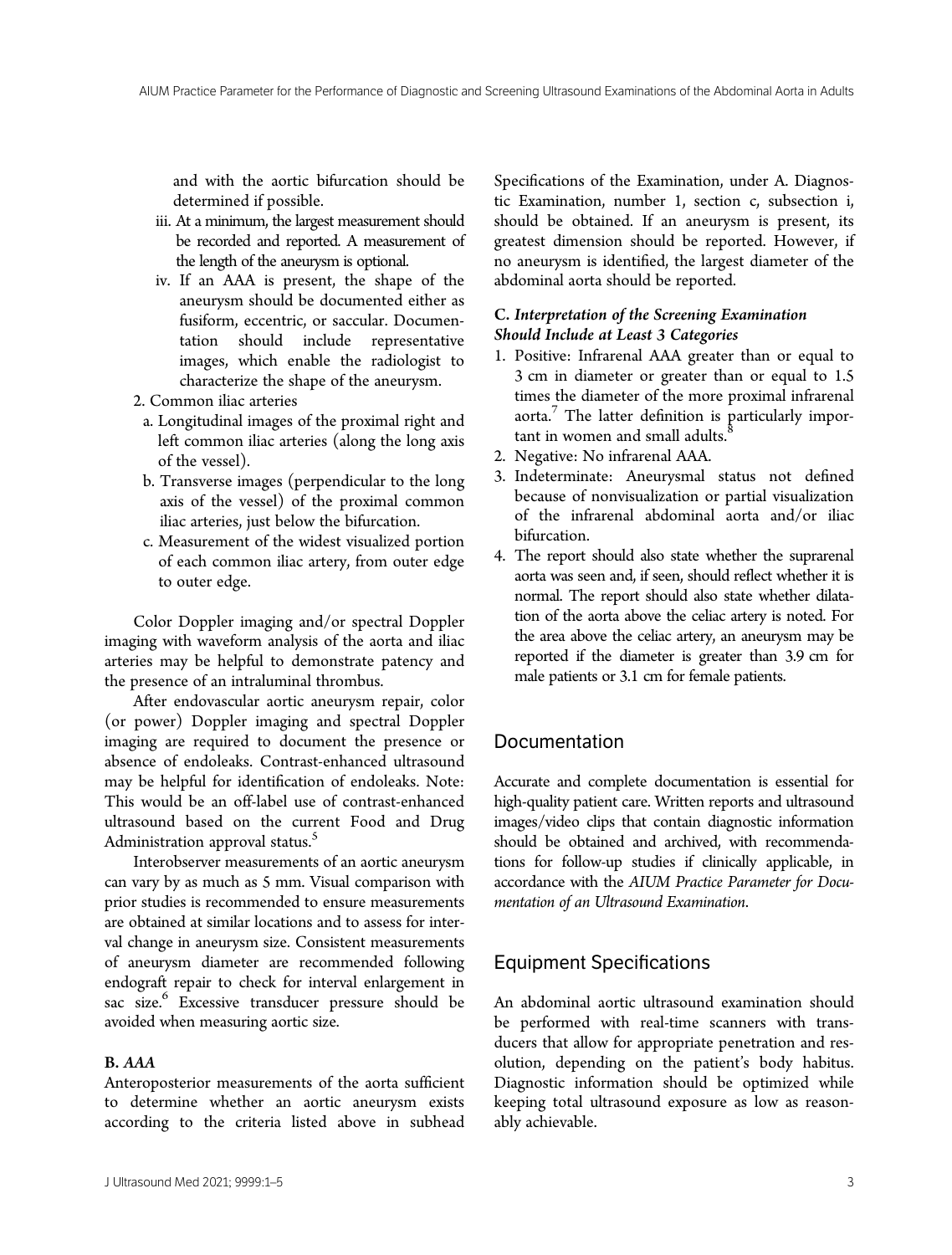and with the aortic bifurcation should be determined if possible.

- iii. At a minimum, the largest measurement should be recorded and reported. A measurement of the length of the aneurysm is optional.
- iv. If an AAA is present, the shape of the aneurysm should be documented either as fusiform, eccentric, or saccular. Documentation should include representative images, which enable the radiologist to characterize the shape of the aneurysm.
- 2. Common iliac arteries
- a. Longitudinal images of the proximal right and left common iliac arteries (along the long axis of the vessel).
- b. Transverse images (perpendicular to the long axis of the vessel) of the proximal common iliac arteries, just below the bifurcation.
- c. Measurement of the widest visualized portion of each common iliac artery, from outer edge to outer edge.

Color Doppler imaging and/or spectral Doppler imaging with waveform analysis of the aorta and iliac arteries may be helpful to demonstrate patency and the presence of an intraluminal thrombus.

After endovascular aortic aneurysm repair, color (or power) Doppler imaging and spectral Doppler imaging are required to document the presence or absence of endoleaks. Contrast-enhanced ultrasound may be helpful for identification of endoleaks. Note: This would be an off-label use of contrast-enhanced ultrasound based on the current Food and Drug Administration approval status.<sup>5</sup>

Interobserver measurements of an aortic aneurysm can vary by as much as 5 mm. Visual comparison with prior studies is recommended to ensure measurements are obtained at similar locations and to assess for interval change in aneurysm size. Consistent measurements of aneurysm diameter are recommended following endograft repair to check for interval enlargement in sac size.<sup>6</sup> Excessive transducer pressure should be avoided when measuring aortic size.

#### B. AAA

Anteroposterior measurements of the aorta sufficient to determine whether an aortic aneurysm exists according to the criteria listed above in subhead Specifications of the Examination, under A. Diagnostic Examination, number 1, section c, subsection i, should be obtained. If an aneurysm is present, its greatest dimension should be reported. However, if no aneurysm is identified, the largest diameter of the abdominal aorta should be reported.

### C. Interpretation of the Screening Examination Should Include at Least 3 Categories

- 1. Positive: Infrarenal AAA greater than or equal to 3 cm in diameter or greater than or equal to 1.5 times the diameter of the more proximal infrarenal aorta. $\frac{7}{1}$  The latter definition is particularly important in women and small adults.<sup>8</sup>
- 2. Negative: No infrarenal AAA.
- 3. Indeterminate: Aneurysmal status not defined because of nonvisualization or partial visualization of the infrarenal abdominal aorta and/or iliac bifurcation.
- 4. The report should also state whether the suprarenal aorta was seen and, if seen, should reflect whether it is normal. The report should also state whether dilatation of the aorta above the celiac artery is noted. For the area above the celiac artery, an aneurysm may be reported if the diameter is greater than 3.9 cm for male patients or 3.1 cm for female patients.

## Documentation

Accurate and complete documentation is essential for high-quality patient care. Written reports and ultrasound images/video clips that contain diagnostic information should be obtained and archived, with recommendations for follow-up studies if clinically applicable, in accordance with the AIUM Practice Parameter for Documentation of an Ultrasound Examination.

#### Equipment Specifications

An abdominal aortic ultrasound examination should be performed with real-time scanners with transducers that allow for appropriate penetration and resolution, depending on the patient's body habitus. Diagnostic information should be optimized while keeping total ultrasound exposure as low as reasonably achievable.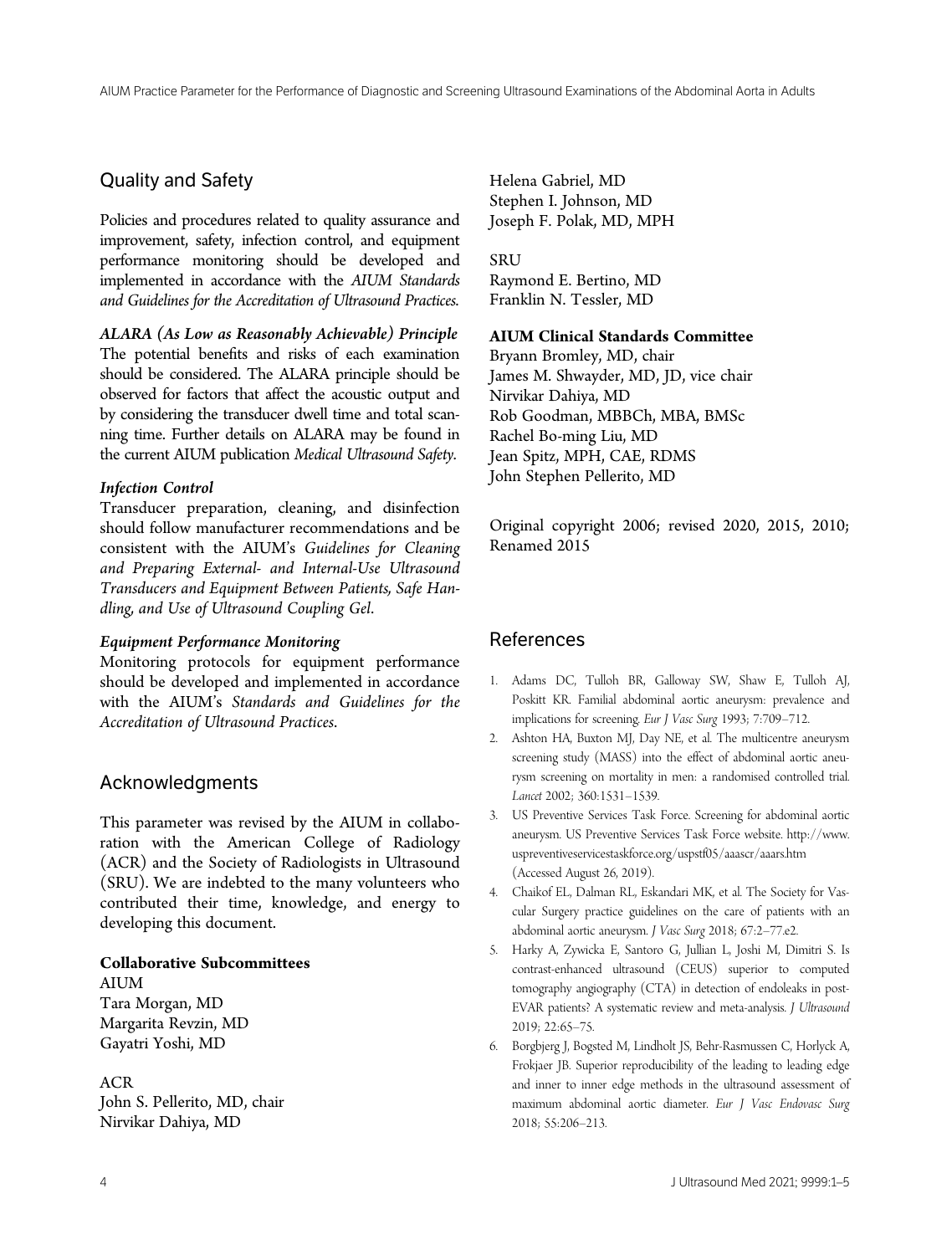## Quality and Safety

Policies and procedures related to quality assurance and improvement, safety, infection control, and equipment performance monitoring should be developed and implemented in accordance with the AIUM Standards and Guidelines for the Accreditation of Ultrasound Practices.

ALARA (As Low as Reasonably Achievable) Principle The potential benefits and risks of each examination should be considered. The ALARA principle should be observed for factors that affect the acoustic output and by considering the transducer dwell time and total scanning time. Further details on ALARA may be found in the current AIUM publication Medical Ultrasound Safety.

## Infection Control

Transducer preparation, cleaning, and disinfection should follow manufacturer recommendations and be consistent with the AIUM's Guidelines for Cleaning and Preparing External- and Internal-Use Ultrasound Transducers and Equipment Between Patients, Safe Handling, and Use of Ultrasound Coupling Gel.

#### Equipment Performance Monitoring

Monitoring protocols for equipment performance should be developed and implemented in accordance with the AIUM's Standards and Guidelines for the Accreditation of Ultrasound Practices.

## Acknowledgments

This parameter was revised by the AIUM in collaboration with the American College of Radiology (ACR) and the Society of Radiologists in Ultrasound (SRU). We are indebted to the many volunteers who contributed their time, knowledge, and energy to developing this document.

## Collaborative Subcommittees

AIUM Tara Morgan, MD Margarita Revzin, MD Gayatri Yoshi, MD

ACR John S. Pellerito, MD, chair Nirvikar Dahiya, MD

Helena Gabriel, MD Stephen I. Johnson, MD Joseph F. Polak, MD, MPH

**SRU** Raymond E. Bertino, MD Franklin N. Tessler, MD

## AIUM Clinical Standards Committee

Bryann Bromley, MD, chair James M. Shwayder, MD, JD, vice chair Nirvikar Dahiya, MD Rob Goodman, MBBCh, MBA, BMSc Rachel Bo-ming Liu, MD Jean Spitz, MPH, CAE, RDMS John Stephen Pellerito, MD

Original copyright 2006; revised 2020, 2015, 2010; Renamed 2015

# References

- 1. Adams DC, Tulloh BR, Galloway SW, Shaw E, Tulloh AJ, Poskitt KR. Familial abdominal aortic aneurysm: prevalence and implications for screening. Eur J Vasc Surg 1993; 7:709–712.
- 2. Ashton HA, Buxton MJ, Day NE, et al. The multicentre aneurysm screening study (MASS) into the effect of abdominal aortic aneurysm screening on mortality in men: a randomised controlled trial. Lancet 2002; 360:1531–1539.
- 3. US Preventive Services Task Force. Screening for abdominal aortic aneurysm. US Preventive Services Task Force website. [http://www.](http://www.uspreventiveservicestaskforce.org/uspstf05/aaascr/aaars.htm) [uspreventiveservicestaskforce.org/uspstf05/aaascr/aaars.htm](http://www.uspreventiveservicestaskforce.org/uspstf05/aaascr/aaars.htm) (Accessed August 26, 2019).
- 4. Chaikof EL, Dalman RL, Eskandari MK, et al. The Society for Vascular Surgery practice guidelines on the care of patients with an abdominal aortic aneurysm. J Vasc Surg 2018; 67:2–77.e2.
- 5. Harky A, Zywicka E, Santoro G, Jullian L, Joshi M, Dimitri S. Is contrast-enhanced ultrasound (CEUS) superior to computed tomography angiography (CTA) in detection of endoleaks in post-EVAR patients? A systematic review and meta-analysis. J Ultrasound 2019; 22:65–75.
- 6. Borgbjerg J, Bogsted M, Lindholt JS, Behr-Rasmussen C, Horlyck A, Frokjaer JB. Superior reproducibility of the leading to leading edge and inner to inner edge methods in the ultrasound assessment of maximum abdominal aortic diameter. Eur J Vasc Endovasc Surg 2018; 55:206–213.